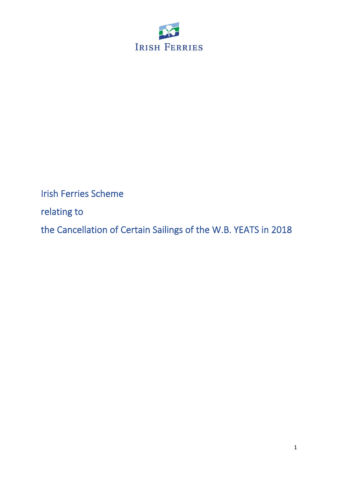

Irish Ferries Scheme

relating to

the Cancellation of Certain Sailings of the W.B. YEATSin 2018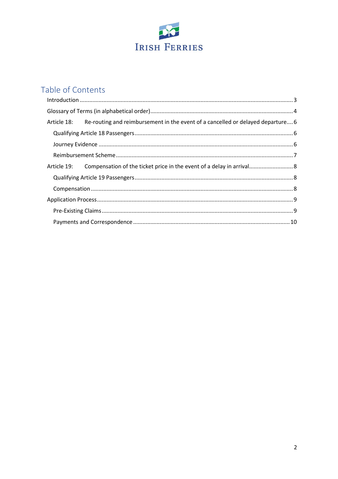

# Table of Contents

| Article 18: Re-routing and reimbursement in the event of a cancelled or delayed departure 6 |  |
|---------------------------------------------------------------------------------------------|--|
|                                                                                             |  |
|                                                                                             |  |
|                                                                                             |  |
|                                                                                             |  |
|                                                                                             |  |
|                                                                                             |  |
|                                                                                             |  |
|                                                                                             |  |
|                                                                                             |  |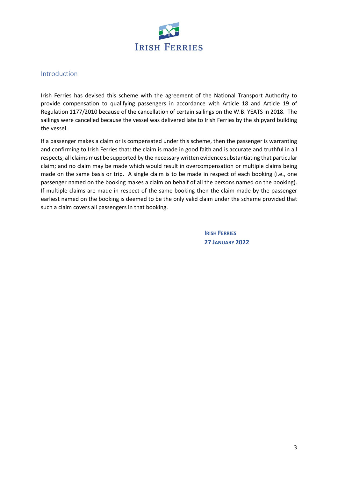

#### <span id="page-2-0"></span>Introduction

Irish Ferries has devised this scheme with the agreement of the National Transport Authority to provide compensation to qualifying passengers in accordance with Article 18 and Article 19 of Regulation 1177/2010 because of the cancellation of certain sailings on the W.B. YEATS in 2018. The sailings were cancelled because the vessel was delivered late to Irish Ferries by the shipyard building the vessel.

If a passenger makes a claim or is compensated under this scheme, then the passenger is warranting and confirming to Irish Ferries that: the claim is made in good faith and is accurate and truthful in all respects; all claims must be supported by the necessary written evidence substantiating that particular claim; and no claim may be made which would result in overcompensation or multiple claims being made on the same basis or trip. A single claim is to be made in respect of each booking (i.e., one passenger named on the booking makes a claim on behalf of all the persons named on the booking). If multiple claims are made in respect of the same booking then the claim made by the passenger earliest named on the booking is deemed to be the only valid claim under the scheme provided that such a claim covers all passengers in that booking.

> **IRISH FERRIES 27 JANUARY 2022**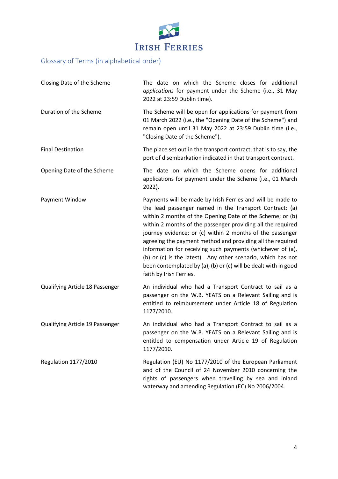

## <span id="page-3-0"></span>Glossary of Terms (in alphabetical order)

| Closing Date of the Scheme      | The date on which the Scheme closes for additional<br>applications for payment under the Scheme (i.e., 31 May<br>2022 at 23:59 Dublin time).                                                                                                                                                                                                                                                                                                                                                                                                                                                             |  |  |
|---------------------------------|----------------------------------------------------------------------------------------------------------------------------------------------------------------------------------------------------------------------------------------------------------------------------------------------------------------------------------------------------------------------------------------------------------------------------------------------------------------------------------------------------------------------------------------------------------------------------------------------------------|--|--|
| Duration of the Scheme          | The Scheme will be open for applications for payment from<br>01 March 2022 (i.e., the "Opening Date of the Scheme") and<br>remain open until 31 May 2022 at 23:59 Dublin time (i.e.,<br>"Closing Date of the Scheme").                                                                                                                                                                                                                                                                                                                                                                                   |  |  |
| <b>Final Destination</b>        | The place set out in the transport contract, that is to say, the<br>port of disembarkation indicated in that transport contract.                                                                                                                                                                                                                                                                                                                                                                                                                                                                         |  |  |
| Opening Date of the Scheme      | The date on which the Scheme opens for additional<br>applications for payment under the Scheme (i.e., 01 March<br>2022).                                                                                                                                                                                                                                                                                                                                                                                                                                                                                 |  |  |
| Payment Window                  | Payments will be made by Irish Ferries and will be made to<br>the lead passenger named in the Transport Contract: (a)<br>within 2 months of the Opening Date of the Scheme; or (b)<br>within 2 months of the passenger providing all the required<br>journey evidence; or (c) within 2 months of the passenger<br>agreeing the payment method and providing all the required<br>information for receiving such payments (whichever of (a),<br>(b) or (c) is the latest). Any other scenario, which has not<br>been contemplated by (a), (b) or (c) will be dealt with in good<br>faith by Irish Ferries. |  |  |
| Qualifying Article 18 Passenger | An individual who had a Transport Contract to sail as a<br>passenger on the W.B. YEATS on a Relevant Sailing and is<br>entitled to reimbursement under Article 18 of Regulation<br>1177/2010.                                                                                                                                                                                                                                                                                                                                                                                                            |  |  |
| Qualifying Article 19 Passenger | An individual who had a Transport Contract to sail as a<br>passenger on the W.B. YEATS on a Relevant Sailing and is<br>entitled to compensation under Article 19 of Regulation<br>1177/2010.                                                                                                                                                                                                                                                                                                                                                                                                             |  |  |
| <b>Regulation 1177/2010</b>     | Regulation (EU) No 1177/2010 of the European Parliament<br>and of the Council of 24 November 2010 concerning the<br>rights of passengers when travelling by sea and inland<br>waterway and amending Regulation (EC) No 2006/2004.                                                                                                                                                                                                                                                                                                                                                                        |  |  |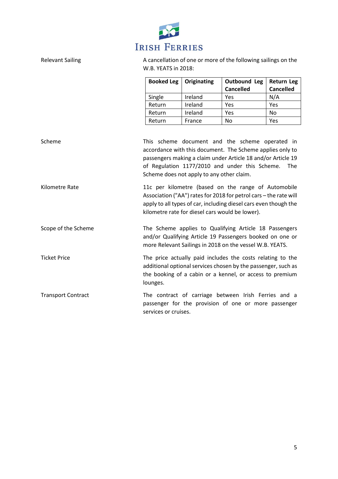

Relevant Sailing **A** cancellation of one or more of the following sailings on the W.B. YEATS in 2018:

| Booked Leg | Originating | Outbound Leg     | <b>Return Leg</b> |
|------------|-------------|------------------|-------------------|
|            |             | <b>Cancelled</b> | <b>Cancelled</b>  |
| Single     | Ireland     | Yes              | N/A               |
| Return     | Ireland     | Yes              | Yes               |
| Return     | Ireland     | Yes              | No                |
| Return     | France      | No               | Yes               |

| Scheme                    | This scheme document and the scheme operated in<br>accordance with this document. The Scheme applies only to<br>passengers making a claim under Article 18 and/or Article 19<br>of Regulation 1177/2010 and under this Scheme.<br>The<br>Scheme does not apply to any other claim. |
|---------------------------|------------------------------------------------------------------------------------------------------------------------------------------------------------------------------------------------------------------------------------------------------------------------------------|
| Kilometre Rate            | 11c per kilometre (based on the range of Automobile<br>Association ("AA") rates for 2018 for petrol cars - the rate will<br>apply to all types of car, including diesel cars even though the<br>kilometre rate for diesel cars would be lower).                                    |
| Scope of the Scheme       | The Scheme applies to Qualifying Article 18 Passengers<br>and/or Qualifying Article 19 Passengers booked on one or<br>more Relevant Sailings in 2018 on the vessel W.B. YEATS.                                                                                                     |
| <b>Ticket Price</b>       | The price actually paid includes the costs relating to the<br>additional optional services chosen by the passenger, such as<br>the booking of a cabin or a kennel, or access to premium<br>lounges.                                                                                |
| <b>Transport Contract</b> | The contract of carriage between Irish Ferries and a<br>passenger for the provision of one or more passenger<br>services or cruises.                                                                                                                                               |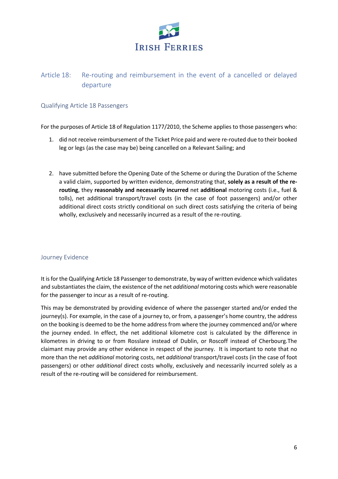

### <span id="page-5-0"></span>Article 18: Re-routing and reimbursement in the event of a cancelled or delayed departure

#### <span id="page-5-1"></span>Qualifying Article 18 Passengers

For the purposes of Article 18 of Regulation 1177/2010, the Scheme applies to those passengers who:

- 1. did not receive reimbursement of the Ticket Price paid and were re-routed due to their booked leg or legs (as the case may be) being cancelled on a Relevant Sailing; and
- 2. have submitted before the Opening Date of the Scheme or during the Duration of the Scheme a valid claim, supported by written evidence, demonstrating that, **solely as a result of the rerouting**, they **reasonably and necessarily incurred** net **additional** motoring costs (i.e., fuel & tolls), net additional transport/travel costs (in the case of foot passengers) and/or other additional direct costs strictly conditional on such direct costs satisfying the criteria of being wholly, exclusively and necessarily incurred as a result of the re-routing.

#### <span id="page-5-2"></span>Journey Evidence

It is for the Qualifying Article 18 Passenger to demonstrate, by way of written evidence which validates and substantiates the claim, the existence of the net *additional* motoring costs which were reasonable for the passenger to incur as a result of re-routing.

This may be demonstrated by providing evidence of where the passenger started and/or ended the journey(s). For example, in the case of a journey to, or from, a passenger's home country, the address on the booking is deemed to be the home address from where the journey commenced and/or where the journey ended. In effect, the net additional kilometre cost is calculated by the difference in kilometres in driving to or from Rosslare instead of Dublin, or Roscoff instead of Cherbourg*.*The claimant may provide any other evidence in respect of the journey. It is important to note that no more than the net *additional* motoring costs, net *additional* transport/travel costs (in the case of foot passengers) or other *additional* direct costs wholly, exclusively and necessarily incurred solely as a result of the re-routing will be considered for reimbursement.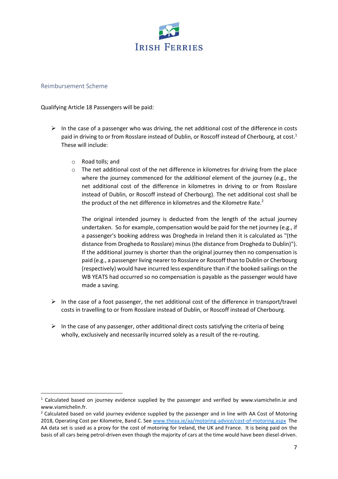

#### <span id="page-6-0"></span>Reimbursement Scheme

Qualifying Article 18 Passengers will be paid:

- $\triangleright$  In the case of a passenger who was driving, the net additional cost of the difference in costs paid in driving to or from Rosslare instead of Dublin, or Roscoff instead of Cherbourg, at cost. 1 These will include:
	- o Road tolls; and
	- $\circ$  The net additional cost of the net difference in kilometres for driving from the place where the journey commenced for the *additional* element of the journey (e.g., the net additional cost of the difference in kilometres in driving to or from Rosslare instead of Dublin, or Roscoff instead of Cherbourg). The net additional cost shall be the product of the net difference in kilometres and the Kilometre Rate.<sup>2</sup>

The original intended journey is deducted from the length of the actual journey undertaken. So for example, compensation would be paid for the net journey (e.g., if a passenger's booking address was Drogheda in Ireland then it is calculated as "(the distance from Drogheda to Rosslare) minus (the distance from Drogheda to Dublin)"). If the additional journey is shorter than the original journey then no compensation is paid (e.g., a passenger living nearer to Rosslare or Roscoff than to Dublin or Cherbourg (respectively) would have incurred less expenditure than if the booked sailings on the WB YEATS had occurred so no compensation is payable as the passenger would have made a saving.

- $\triangleright$  In the case of a foot passenger, the net additional cost of the difference in transport/travel costs in travelling to or from Rosslare instead of Dublin, or Roscoff instead of Cherbourg.
- $\triangleright$  In the case of any passenger, other additional direct costs satisfying the criteria of being wholly, exclusively and necessarily incurred solely as a result of the re-routing.

<sup>&</sup>lt;sup>1</sup> Calculated based on journey evidence supplied by the passenger and verified by www.viamichelin.ie and www.viamichelin.fr.

 $<sup>2</sup>$  Calculated based on valid journey evidence supplied by the passenger and in line with AA Cost of Motoring</sup> 2018, Operating Cost per Kilometre, Band C. Se[e www.theaa.ie/aa/motoring-advice/cost-of-motoring.aspx](http://www.theaa.ie/aa/motoring-advice/cost-of-motoring.aspx) The AA data set is used as a proxy for the cost of motoring for Ireland, the UK and France. It is being paid on the basis of all cars being petrol-driven even though the majority of cars at the time would have been diesel-driven.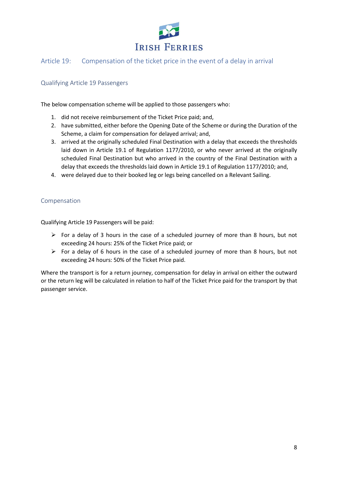

#### <span id="page-7-0"></span>Article 19: Compensation of the ticket price in the event of a delay in arrival

#### <span id="page-7-1"></span>Qualifying Article 19 Passengers

The below compensation scheme will be applied to those passengers who:

- 1. did not receive reimbursement of the Ticket Price paid; and,
- 2. have submitted, either before the Opening Date of the Scheme or during the Duration of the Scheme, a claim for compensation for delayed arrival; and,
- 3. arrived at the originally scheduled Final Destination with a delay that exceeds the thresholds laid down in Article 19.1 of Regulation 1177/2010, or who never arrived at the originally scheduled Final Destination but who arrived in the country of the Final Destination with a delay that exceeds the thresholds laid down in Article 19.1 of Regulation 1177/2010; and,
- 4. were delayed due to their booked leg or legs being cancelled on a Relevant Sailing.

#### <span id="page-7-2"></span>Compensation

Qualifying Article 19 Passengers will be paid:

- $\triangleright$  For a delay of 3 hours in the case of a scheduled journey of more than 8 hours, but not exceeding 24 hours: 25% of the Ticket Price paid; or
- ➢ For a delay of 6 hours in the case of a scheduled journey of more than 8 hours, but not exceeding 24 hours: 50% of the Ticket Price paid.

Where the transport is for a return journey, compensation for delay in arrival on either the outward or the return leg will be calculated in relation to half of the Ticket Price paid for the transport by that passenger service.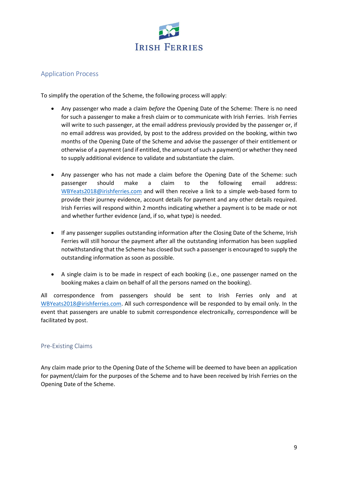

#### <span id="page-8-0"></span>Application Process

To simplify the operation of the Scheme, the following process will apply:

- Any passenger who made a claim *before* the Opening Date of the Scheme: There is no need for such a passenger to make a fresh claim or to communicate with Irish Ferries. Irish Ferries will write to such passenger, at the email address previously provided by the passenger or, if no email address was provided, by post to the address provided on the booking, within two months of the Opening Date of the Scheme and advise the passenger of their entitlement or otherwise of a payment (and if entitled, the amount of such a payment) or whether they need to supply additional evidence to validate and substantiate the claim.
- Any passenger who has not made a claim before the Opening Date of the Scheme: such passenger should make a claim to the following email address: [WBYeats2018@irishferries.com](mailto:WBYeats2018@irishferries.com) and will then receive a link to a simple web-based form to provide their journey evidence, account details for payment and any other details required. Irish Ferries will respond within 2 months indicating whether a payment is to be made or not and whether further evidence (and, if so, what type) is needed.
- If any passenger supplies outstanding information after the Closing Date of the Scheme, Irish Ferries will still honour the payment after all the outstanding information has been supplied notwithstanding that the Scheme has closed but such a passenger is encouraged to supply the outstanding information as soon as possible.
- A single claim is to be made in respect of each booking (i.e., one passenger named on the booking makes a claim on behalf of all the persons named on the booking).

All correspondence from passengers should be sent to Irish Ferries only and at [WBYeats2018@irishferries.com.](mailto:WBYeats2018@irishferries.com) All such correspondence will be responded to by email only. In the event that passengers are unable to submit correspondence electronically, correspondence will be facilitated by post.

#### <span id="page-8-1"></span>Pre-Existing Claims

Any claim made prior to the Opening Date of the Scheme will be deemed to have been an application for payment/claim for the purposes of the Scheme and to have been received by Irish Ferries on the Opening Date of the Scheme.